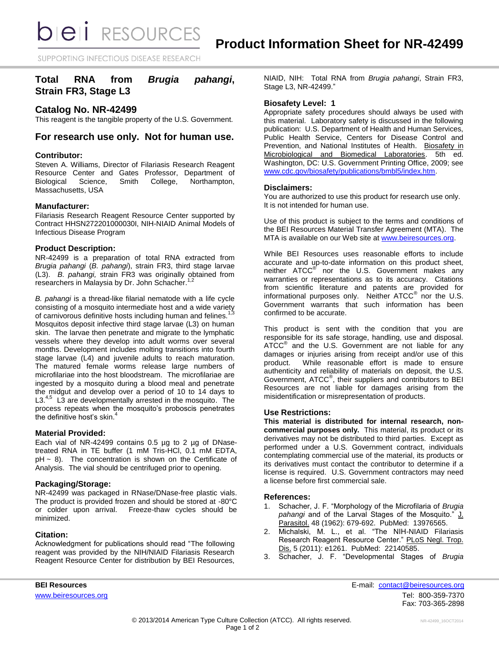*DIEI RESOURCES* 

SUPPORTING INFECTIOUS DISEASE RESEARCH

# **Total RNA from** *Brugia pahangi***, Strain FR3, Stage L3**

### **Catalog No. NR-42499**

This reagent is the tangible property of the U.S. Government.

## **For research use only. Not for human use.**

### **Contributor:**

Steven A. Williams, Director of Filariasis Research Reagent Resource Center and Gates Professor, Department of Biological Science, Smith College, Northampton, Massachusetts, USA

#### **Manufacturer:**

Filariasis Research Reagent Resource Center supported by Contract HHSN272201000030I, NIH-NIAID Animal Models of Infectious Disease Program

### **Product Description:**

NR-42499 is a preparation of total RNA extracted from *Brugia pahangi* (*B. pahangi*), strain FR3, third stage larvae (L3). *B. pahangi,* strain FR3 was originally obtained from researchers in Malaysia by Dr. John Schacher.<sup>1,2</sup>

*B. pahangi* is a thread-like filarial nematode with a life cycle consisting of a mosquito intermediate host and a wide variety of carnivorous definitive hosts including human and felines.<sup>1</sup> Mosquitos deposit infective third stage larvae (L3) on human skin. The larvae then penetrate and migrate to the lymphatic vessels where they develop into adult worms over several months. Development includes molting transitions into fourth stage larvae (L4) and juvenile adults to reach maturation. The matured female worms release large numbers of microfilariae into the host bloodstream. The microfilariae are ingested by a mosquito during a blood meal and penetrate the midgut and develop over a period of 10 to 14 days to  $L3.<sup>4</sup>$  L3 are developmentally arrested in the mosquito. The process repeats when the mosquito's proboscis penetrates the definitive host's skin.<sup>4</sup>

#### **Material Provided:**

Each vial of NR-42499 contains 0.5 µg to 2 µg of DNasetreated RNA in TE buffer (1 mM Tris-HCl, 0.1 mM EDTA,  $pH \sim 8$ ). The concentration is shown on the Certificate of Analysis. The vial should be centrifuged prior to opening.

### **Packaging/Storage:**

NR-42499 was packaged in RNase/DNase-free plastic vials. The product is provided frozen and should be stored at -80°C or colder upon arrival. Freeze-thaw cycles should be minimized.

### **Citation:**

Acknowledgment for publications should read "The following reagent was provided by the NIH/NIAID Filariasis Research Reagent Resource Center for distribution by BEI Resources,

NIAID, NIH: Total RNA from *Brugia pahangi*, Strain FR3, Stage L3, NR-42499."

### **Biosafety Level: 1**

Appropriate safety procedures should always be used with this material. Laboratory safety is discussed in the following publication: U.S. Department of Health and Human Services, Public Health Service, Centers for Disease Control and Prevention, and National Institutes of Health. Biosafety in Microbiological and Biomedical Laboratories. 5th ed. Washington, DC: U.S. Government Printing Office, 2009; see [www.cdc.gov/biosafety/publications/bmbl5/index.htm.](http://www.cdc.gov/biosafety/publications/bmbl5/index.htm)

### **Disclaimers:**

You are authorized to use this product for research use only. It is not intended for human use.

Use of this product is subject to the terms and conditions of the BEI Resources Material Transfer Agreement (MTA). The MTA is available on our Web site at [www.beiresources.org.](http://www.beiresources.org/)

While BEI Resources uses reasonable efforts to include accurate and up-to-date information on this product sheet, neither ATCC<sup>®</sup> nor the U.S. Government makes any warranties or representations as to its accuracy. Citations from scientific literature and patents are provided for informational purposes only. Neither  $\tt{ATCC}^{\circledR}$  nor the U.S. Government warrants that such information has been confirmed to be accurate.

This product is sent with the condition that you are responsible for its safe storage, handling, use and disposal. ATCC<sup>®</sup> and the U.S. Government are not liable for any damages or injuries arising from receipt and/or use of this product. While reasonable effort is made to ensure authenticity and reliability of materials on deposit, the U.S. Government, ATCC® , their suppliers and contributors to BEI Resources are not liable for damages arising from the misidentification or misrepresentation of products.

#### **Use Restrictions:**

**This material is distributed for internal research, noncommercial purposes only.** This material, its product or its derivatives may not be distributed to third parties. Except as performed under a U.S. Government contract, individuals contemplating commercial use of the material, its products or its derivatives must contact the contributor to determine if a license is required. U.S. Government contractors may need a license before first commercial sale.

#### **References:**

- 1. Schacher, J. F. "Morphology of the Microfilaria of *Brugia pahangi* and of the Larval Stages of the Mosquito." J. Parasitol. 48 (1962): 679-692. PubMed: 13976565.
- 2. Michalski, M. L., et al. "The NIH-NIAID Filariasis Research Reagent Resource Center." PLoS Negl. Trop. Dis. 5 (2011): e1261. PubMed: 22140585.
- 3. Schacher, J. F. "Developmental Stages of *Brugia*

**BEI Resources** E-mail: [contact@beiresources.org](mailto:contact@beiresources.org) [www.beiresources.org](http://www.beiresources.org/) **Tel:** 800-359-7370 Fax: 703-365-2898